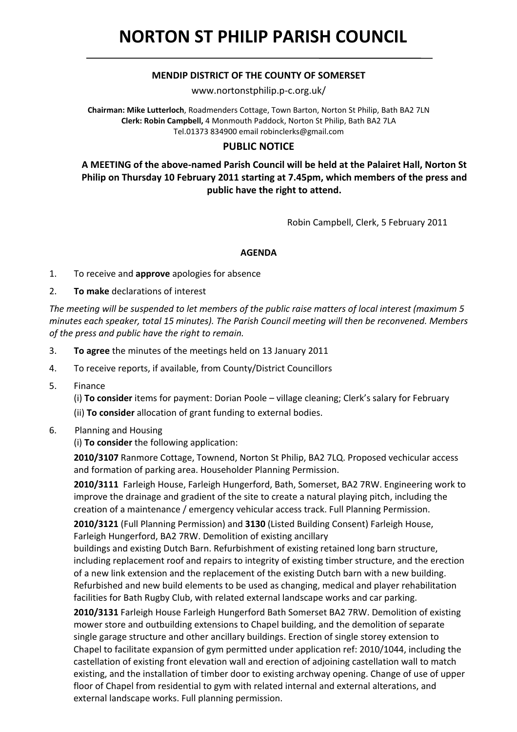# **NORTON ST PHILIP PARISH COUNCIL**

### **MENDIP DISTRICT OF THE COUNTY OF SOMERSET**

[www.nortonstphilip.p](http://www.nortonstphilip.p-c.org.uk/)‐c.org.uk/

**Chairman: Mike Lutterloch**, Roadmenders Cottage, Town Barton, Norton St Philip, Bath BA2 7LN **Clerk: Robin Campbell,** 4 Monmouth Paddock, Norton St Philip, Bath BA2 7LA Tel.01373 834900 email [robinclerks@gmail.com](mailto:robinclerks@gmail.com)

#### **PUBLIC NOTICE**

## **A MEETING of the above‐named Parish Council will be held at the Palairet Hall, Norton St Philip on Thursday 10 February 2011 starting at 7.45pm, which members of the press and public have the right to attend.**

Robin Campbell, Clerk, 5 February 2011

#### **AGENDA**

- 1. To receive and **approve** apologies for absence
- 2. **To make** declarations of interest

The meeting will be suspended to let members of the public raise matters of local interest (maximum 5 *minutes each speaker, total 15 minutes). The Parish Council meeting will then be reconvened. Members of the press and public have the right to remain.*

- 3. **To agree** the minutes of the meetings held on 13 January 2011
- 4. To receive reports, if available, from County/District Councillors
- 5. Finance

(i) **To consider** items for payment: Dorian Poole – village cleaning; Clerk's salary for February

(ii) **To consider** allocation of grant funding to external bodies.

6. Planning and Housing

(i) **To consider** the following application:

 **2010/3107** Ranmore Cottage, Townend, Norton St Philip, BA2 7LQ. Proposed vechicular access and formation of parking area. Householder Planning Permission.

 **2010/3111** Farleigh House, Farleigh Hungerford, Bath, Somerset, BA2 7RW. Engineering work to improve the drainage and gradient of the site to create a natural playing pitch, including the creation of a maintenance / emergency vehicular access track. Full Planning Permission.

 **2010/3121** (Full Planning Permission) and **3130** (Listed Building Consent) Farleigh House, Farleigh Hungerford, BA2 7RW. Demolition of existing ancillary

 buildings and existing Dutch Barn. Refurbishment of existing retained long barn structure, including replacement roof and repairs to integrity of existing timber structure, and the erection of a new link extension and the replacement of the existing Dutch barn with a new building. Refurbished and new build elements to be used as changing, medical and player rehabilitation facilities for Bath Rugby Club, with related external landscape works and car parking.

 **2010/3131** Farleigh House Farleigh Hungerford Bath Somerset BA2 7RW. Demolition of existing mower store and outbuilding extensions to Chapel building, and the demolition of separate single garage structure and other ancillary buildings. Erection of single storey extension to Chapel to facilitate expansion of gym permitted under application ref: 2010/1044, including the castellation of existing front elevation wall and erection of adjoining castellation wall to match existing, and the installation of timber door to existing archway opening. Change of use of upper floor of Chapel from residential to gym with related internal and external alterations, and external landscape works. Full planning permission.